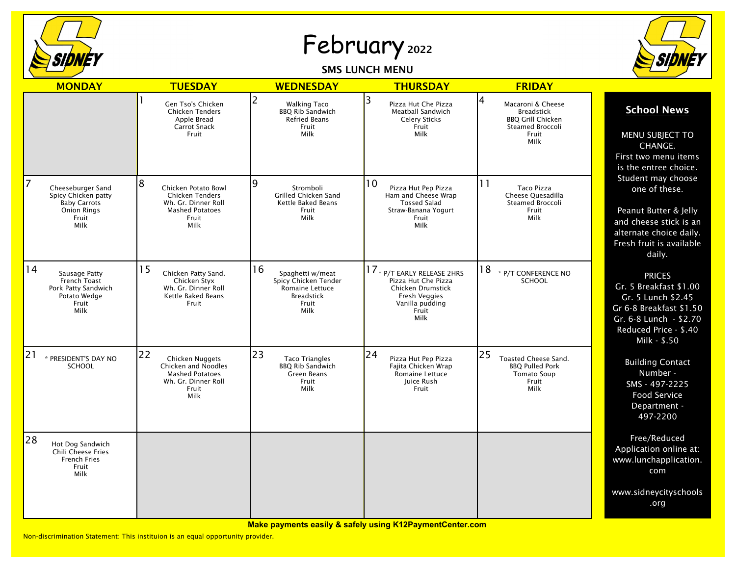

## February <sup>2022</sup>

## SMS LUNCH MENU



| <b>MONDAY</b>                                                                                               | <b>TUESDAY</b>                                                                                                       | <b>WEDNESDAY</b>                                                                                        | <b>THURSDAY</b>                                                                                                                     | <b>FRIDAY</b>                                                                                                |                                                                                                                                                             |
|-------------------------------------------------------------------------------------------------------------|----------------------------------------------------------------------------------------------------------------------|---------------------------------------------------------------------------------------------------------|-------------------------------------------------------------------------------------------------------------------------------------|--------------------------------------------------------------------------------------------------------------|-------------------------------------------------------------------------------------------------------------------------------------------------------------|
|                                                                                                             | Gen Tso's Chicken<br><b>Chicken Tenders</b><br>Apple Bread<br><b>Carrot Snack</b><br>Fruit                           | 2<br><b>Walking Taco</b><br><b>BBO Rib Sandwich</b><br><b>Refried Beans</b><br>Fruit<br>Milk            | 3<br>Pizza Hut Che Pizza<br>Meatball Sandwich<br><b>Celery Sticks</b><br>Fruit<br><b>Milk</b>                                       | 4<br>Macaroni & Cheese<br><b>Breadstick</b><br><b>BBQ Grill Chicken</b><br>Steamed Broccoli<br>Fruit<br>Milk | <b>School News</b><br>MENU SUBJECT TO<br>CHANGE.<br>First two menu items<br>is the entree choice.                                                           |
| 7<br>Cheeseburger Sand<br>Spicy Chicken patty<br><b>Baby Carrots</b><br><b>Onion Rings</b><br>Fruit<br>Milk | 8<br>Chicken Potato Bowl<br><b>Chicken Tenders</b><br>Wh. Gr. Dinner Roll<br><b>Mashed Potatoes</b><br>Fruit<br>Milk | 9<br>Stromboli<br>Grilled Chicken Sand<br><b>Kettle Baked Beans</b><br>Fruit<br>Milk                    | 10<br>Pizza Hut Pep Pizza<br>Ham and Cheese Wrap<br><b>Tossed Salad</b><br>Straw-Banana Yogurt<br>Fruit<br>Milk                     | 11<br><b>Taco Pizza</b><br>Cheese Quesadilla<br>Steamed Broccoli<br>Fruit<br>Milk                            | Student may choose<br>one of these.<br>Peanut Butter & Jelly<br>and cheese stick is an<br>alternate choice daily.<br>Fresh fruit is available<br>daily.     |
| 14<br>Sausage Patty<br>French Toast<br>Pork Patty Sandwich<br>Potato Wedge<br>Fruit<br>Milk                 | 15<br>Chicken Patty Sand.<br>Chicken Styx<br>Wh. Gr. Dinner Roll<br>Kettle Baked Beans<br>Fruit                      | 16<br>Spaghetti w/meat<br>Spicy Chicken Tender<br>Romaine Lettuce<br><b>Breadstick</b><br>Fruit<br>Milk | 17 * P/T EARLY RELEASE 2HRS<br>Pizza Hut Che Pizza<br>Chicken Drumstick<br>Fresh Veggies<br>Vanilla pudding<br>Fruit<br><b>Milk</b> | 18<br>* P/T CONFERENCE NO<br><b>SCHOOL</b>                                                                   | <b>PRICES</b><br>Gr. 5 Breakfast \$1.00<br>Gr. 5 Lunch \$2.45<br>Gr 6-8 Breakfast \$1.50<br>Gr. 6-8 Lunch - \$2.70<br>Reduced Price - \$.40<br>Milk - \$.50 |
| 21<br>* PRESIDENT'S DAY NO<br><b>SCHOOL</b>                                                                 | 22<br>Chicken Nuggets<br>Chicken and Noodles<br><b>Mashed Potatoes</b><br>Wh. Gr. Dinner Roll<br>Fruit<br>Milk       | 23<br><b>Taco Triangles</b><br><b>BBQ Rib Sandwich</b><br>Green Beans<br>Fruit<br>Milk                  | 24<br>Pizza Hut Pep Pizza<br>Fajita Chicken Wrap<br>Romaine Lettuce<br>Juice Rush<br>Fruit                                          | 25<br>Toasted Cheese Sand.<br><b>BBO Pulled Pork</b><br><b>Tomato Soup</b><br>Fruit<br>Milk                  | <b>Building Contact</b><br>Number -<br>SMS - 497-2225<br><b>Food Service</b><br>Department -<br>497-2200                                                    |
| 28<br>Hot Dog Sandwich<br>Chili Cheese Fries<br><b>French Fries</b><br>Fruit<br>Milk                        |                                                                                                                      |                                                                                                         |                                                                                                                                     |                                                                                                              | Free/Reduced<br>Application online at:<br>www.lunchapplication.<br>com                                                                                      |
|                                                                                                             |                                                                                                                      |                                                                                                         |                                                                                                                                     |                                                                                                              | www.sidneycityschools<br>.org                                                                                                                               |

Non-discrimination Statement: This instituion is an equal opportunity provider.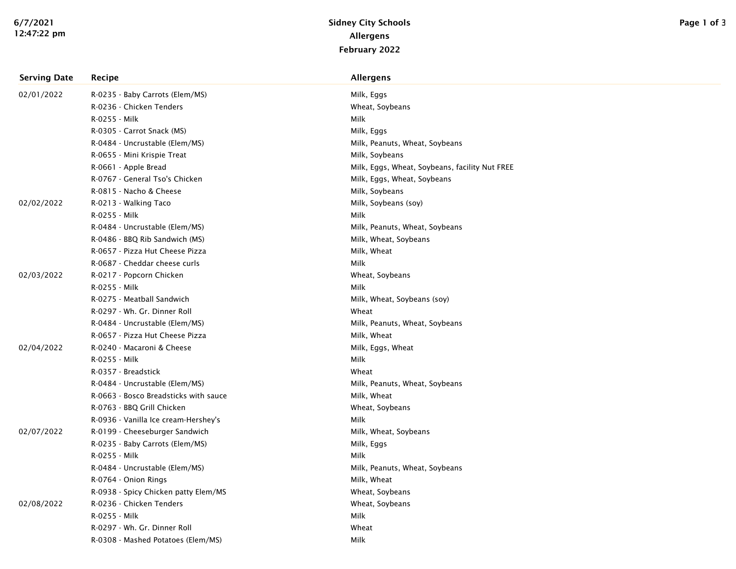| <b>Serving Date</b> | Recipe                                | <b>Allergens</b>                               |
|---------------------|---------------------------------------|------------------------------------------------|
| 02/01/2022          | R-0235 - Baby Carrots (Elem/MS)       | Milk, Eggs                                     |
|                     | R-0236 - Chicken Tenders              | Wheat, Soybeans                                |
|                     | R-0255 - Milk                         | Milk                                           |
|                     | R-0305 - Carrot Snack (MS)            | Milk, Eggs                                     |
|                     | R-0484 - Uncrustable (Elem/MS)        | Milk, Peanuts, Wheat, Soybeans                 |
|                     | R-0655 - Mini Krispie Treat           | Milk, Soybeans                                 |
|                     | R-0661 - Apple Bread                  | Milk, Eggs, Wheat, Soybeans, facility Nut FREE |
|                     | R-0767 - General Tso's Chicken        | Milk, Eggs, Wheat, Soybeans                    |
|                     | R-0815 - Nacho & Cheese               | Milk, Soybeans                                 |
| 02/02/2022          | R-0213 - Walking Taco                 | Milk, Soybeans (soy)                           |
|                     | R-0255 - Milk                         | Milk                                           |
|                     | R-0484 - Uncrustable (Elem/MS)        | Milk, Peanuts, Wheat, Soybeans                 |
|                     | R-0486 - BBQ Rib Sandwich (MS)        | Milk, Wheat, Soybeans                          |
|                     | R-0657 - Pizza Hut Cheese Pizza       | Milk, Wheat                                    |
|                     | R-0687 - Cheddar cheese curls         | Milk                                           |
| 02/03/2022          | R-0217 - Popcorn Chicken              | Wheat, Soybeans                                |
|                     | R-0255 - Milk                         | Milk                                           |
|                     | R-0275 - Meatball Sandwich            | Milk, Wheat, Soybeans (soy)                    |
|                     | R-0297 - Wh. Gr. Dinner Roll          | Wheat                                          |
|                     | R-0484 - Uncrustable (Elem/MS)        | Milk, Peanuts, Wheat, Soybeans                 |
|                     | R-0657 - Pizza Hut Cheese Pizza       | Milk, Wheat                                    |
| 02/04/2022          | R-0240 - Macaroni & Cheese            | Milk, Eggs, Wheat                              |
|                     | R-0255 - Milk                         | Milk                                           |
|                     | R-0357 - Breadstick                   | Wheat                                          |
|                     | R-0484 - Uncrustable (Elem/MS)        | Milk, Peanuts, Wheat, Soybeans                 |
|                     | R-0663 - Bosco Breadsticks with sauce | Milk, Wheat                                    |
|                     | R-0763 - BBQ Grill Chicken            | Wheat, Soybeans                                |
|                     | R-0936 - Vanilla Ice cream-Hershey's  | Milk                                           |
| 02/07/2022          | R-0199 - Cheeseburger Sandwich        | Milk, Wheat, Soybeans                          |
|                     | R-0235 - Baby Carrots (Elem/MS)       | Milk, Eggs                                     |
|                     | R-0255 - Milk                         | <b>Milk</b>                                    |
|                     | R-0484 - Uncrustable (Elem/MS)        | Milk, Peanuts, Wheat, Soybeans                 |
|                     | R-0764 - Onion Rings                  | Milk, Wheat                                    |
|                     | R-0938 - Spicy Chicken patty Elem/MS  | Wheat, Soybeans                                |
| 02/08/2022          | R-0236 - Chicken Tenders              | Wheat, Soybeans                                |
|                     | R-0255 - Milk                         | Milk                                           |
|                     | R-0297 - Wh. Gr. Dinner Roll          | Wheat                                          |
|                     | R-0308 - Mashed Potatoes (Elem/MS)    | Milk                                           |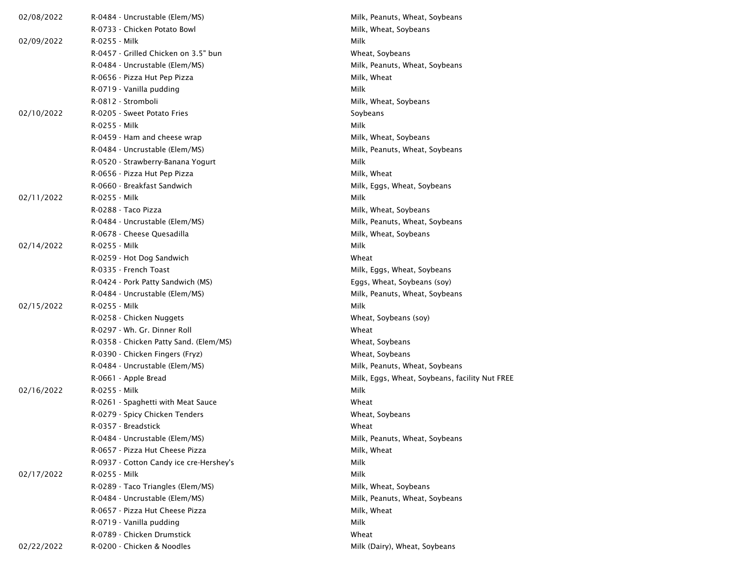| 02/08/2022 | R-0484 - Uncrustable (Elem/MS)          | Milk, Peanuts, Wheat, Soybeans                 |
|------------|-----------------------------------------|------------------------------------------------|
|            | R-0733 - Chicken Potato Bowl            | Milk, Wheat, Soybeans                          |
| 02/09/2022 | R-0255 - Milk                           | Milk                                           |
|            | R-0457 - Grilled Chicken on 3.5" bun    | Wheat, Soybeans                                |
|            | R-0484 - Uncrustable (Elem/MS)          | Milk, Peanuts, Wheat, Soybeans                 |
|            | R-0656 - Pizza Hut Pep Pizza            | Milk, Wheat                                    |
|            | R-0719 - Vanilla pudding                | Milk                                           |
|            | R-0812 - Stromboli                      | Milk, Wheat, Soybeans                          |
| 02/10/2022 | R-0205 - Sweet Potato Fries             | Soybeans                                       |
|            | R-0255 - Milk                           | Milk                                           |
|            | R-0459 - Ham and cheese wrap            | Milk, Wheat, Soybeans                          |
|            | R-0484 - Uncrustable (Elem/MS)          | Milk, Peanuts, Wheat, Soybeans                 |
|            | R-0520 - Strawberry-Banana Yogurt       | Milk                                           |
|            | R-0656 - Pizza Hut Pep Pizza            | Milk, Wheat                                    |
|            | R-0660 - Breakfast Sandwich             | Milk, Eggs, Wheat, Soybeans                    |
| 02/11/2022 | R-0255 - Milk                           | Milk                                           |
|            | R-0288 - Taco Pizza                     | Milk, Wheat, Soybeans                          |
|            | R-0484 - Uncrustable (Elem/MS)          | Milk, Peanuts, Wheat, Soybeans                 |
|            | R-0678 - Cheese Quesadilla              | Milk, Wheat, Soybeans                          |
| 02/14/2022 | R-0255 - Milk                           | Milk                                           |
|            | R-0259 - Hot Dog Sandwich               | Wheat                                          |
|            | R-0335 - French Toast                   | Milk, Eggs, Wheat, Soybeans                    |
|            | R-0424 - Pork Patty Sandwich (MS)       | Eggs, Wheat, Soybeans (soy)                    |
|            | R-0484 - Uncrustable (Elem/MS)          | Milk, Peanuts, Wheat, Soybeans                 |
| 02/15/2022 | R-0255 - Milk                           | Milk                                           |
|            | R-0258 - Chicken Nuggets                | Wheat, Soybeans (soy)                          |
|            | R-0297 - Wh. Gr. Dinner Roll            | Wheat                                          |
|            | R-0358 - Chicken Patty Sand. (Elem/MS)  | Wheat, Soybeans                                |
|            | R-0390 - Chicken Fingers (Fryz)         | Wheat, Soybeans                                |
|            | R-0484 - Uncrustable (Elem/MS)          | Milk, Peanuts, Wheat, Soybeans                 |
|            | R-0661 - Apple Bread                    | Milk, Eggs, Wheat, Soybeans, facility Nut FREE |
| 02/16/2022 | R-0255 - Milk                           | Milk                                           |
|            | R-0261 - Spaghetti with Meat Sauce      | Wheat                                          |
|            | R-0279 - Spicy Chicken Tenders          | Wheat, Soybeans                                |
|            | R-0357 - Breadstick                     | Wheat                                          |
|            | R-0484 - Uncrustable (Elem/MS)          | Milk, Peanuts, Wheat, Soybeans                 |
|            | R-0657 - Pizza Hut Cheese Pizza         | Milk, Wheat                                    |
|            | R-0937 - Cotton Candy ice cre-Hershey's | Milk                                           |
| 02/17/2022 | R-0255 - Milk                           | Milk                                           |
|            | R-0289 - Taco Triangles (Elem/MS)       | Milk, Wheat, Soybeans                          |
|            | R-0484 - Uncrustable (Elem/MS)          | Milk, Peanuts, Wheat, Soybeans                 |
|            | R-0657 - Pizza Hut Cheese Pizza         | Milk, Wheat                                    |
|            | R-0719 - Vanilla pudding                | Milk                                           |
|            | R-0789 - Chicken Drumstick              | Wheat                                          |
| 02/22/2022 | R-0200 - Chicken & Noodles              | Milk (Dairy), Wheat, Soybeans                  |